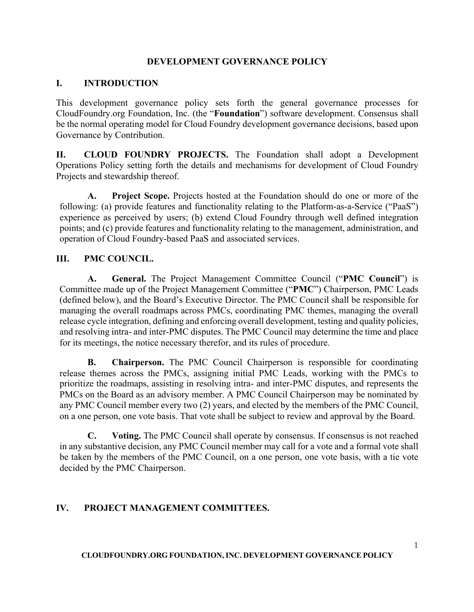#### **DEVELOPMENT GOVERNANCE POLICY**

### **I. INTRODUCTION**

This development governance policy sets forth the general governance processes for CloudFoundry.org Foundation, Inc. (the "**Foundation**") software development. Consensus shall be the normal operating model for Cloud Foundry development governance decisions, based upon Governance by Contribution.

**II. CLOUD FOUNDRY PROJECTS.** The Foundation shall adopt a Development Operations Policy setting forth the details and mechanisms for development of Cloud Foundry Projects and stewardship thereof.

**A. Project Scope.** Projects hosted at the Foundation should do one or more of the following: (a) provide features and functionality relating to the Platform-as-a-Service ("PaaS") experience as perceived by users; (b) extend Cloud Foundry through well defined integration points; and (c) provide features and functionality relating to the management, administration, and operation of Cloud Foundry-based PaaS and associated services.

### **III. PMC COUNCIL.**

**A. General.** The Project Management Committee Council ("**PMC Council**") is Committee made up of the Project Management Committee ("**PMC**") Chairperson, PMC Leads (defined below), and the Board's Executive Director. The PMC Council shall be responsible for managing the overall roadmaps across PMCs, coordinating PMC themes, managing the overall release cycle integration, defining and enforcing overall development, testing and quality policies, and resolving intra- and inter-PMC disputes. The PMC Council may determine the time and place for its meetings, the notice necessary therefor, and its rules of procedure.

**B. Chairperson.** The PMC Council Chairperson is responsible for coordinating release themes across the PMCs, assigning initial PMC Leads, working with the PMCs to prioritize the roadmaps, assisting in resolving intra- and inter-PMC disputes, and represents the PMCs on the Board as an advisory member. A PMC Council Chairperson may be nominated by any PMC Council member every two (2) years, and elected by the members of the PMC Council, on a one person, one vote basis. That vote shall be subject to review and approval by the Board.

**C. Voting.** The PMC Council shall operate by consensus. If consensus is not reached in any substantive decision, any PMC Council member may call for a vote and a formal vote shall be taken by the members of the PMC Council, on a one person, one vote basis, with a tie vote decided by the PMC Chairperson.

## **IV. PROJECT MANAGEMENT COMMITTEES.**

**CLOUDFOUNDRY.ORG FOUNDATION, INC. DEVELOPMENT GOVERNANCE POLICY**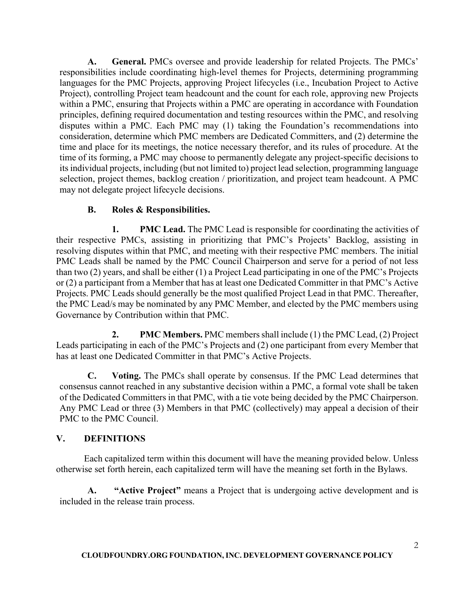**A. General.** PMCs oversee and provide leadership for related Projects. The PMCs' responsibilities include coordinating high-level themes for Projects, determining programming languages for the PMC Projects, approving Project lifecycles (i.e., Incubation Project to Active Project), controlling Project team headcount and the count for each role, approving new Projects within a PMC, ensuring that Projects within a PMC are operating in accordance with Foundation principles, defining required documentation and testing resources within the PMC, and resolving disputes within a PMC. Each PMC may (1) taking the Foundation's recommendations into consideration, determine which PMC members are Dedicated Committers, and (2) determine the time and place for its meetings, the notice necessary therefor, and its rules of procedure. At the time of its forming, a PMC may choose to permanently delegate any project-specific decisions to its individual projects, including (but not limited to) project lead selection, programming language selection, project themes, backlog creation / prioritization, and project team headcount. A PMC may not delegate project lifecycle decisions.

# **B. Roles & Responsibilities.**

**1. PMC Lead.** The PMC Lead is responsible for coordinating the activities of their respective PMCs, assisting in prioritizing that PMC's Projects' Backlog, assisting in resolving disputes within that PMC, and meeting with their respective PMC members. The initial PMC Leads shall be named by the PMC Council Chairperson and serve for a period of not less than two (2) years, and shall be either (1) a Project Lead participating in one of the PMC's Projects or (2) a participant from a Member that has at least one Dedicated Committer in that PMC's Active Projects. PMC Leads should generally be the most qualified Project Lead in that PMC. Thereafter, the PMC Lead/s may be nominated by any PMC Member, and elected by the PMC members using Governance by Contribution within that PMC.

**2. PMC Members.** PMC members shall include (1) the PMC Lead, (2) Project Leads participating in each of the PMC's Projects and (2) one participant from every Member that has at least one Dedicated Committer in that PMC's Active Projects.

**C. Voting.** The PMCs shall operate by consensus. If the PMC Lead determines that consensus cannot reached in any substantive decision within a PMC, a formal vote shall be taken of the Dedicated Committers in that PMC, with a tie vote being decided by the PMC Chairperson. Any PMC Lead or three (3) Members in that PMC (collectively) may appeal a decision of their PMC to the PMC Council.

## **V. DEFINITIONS**

Each capitalized term within this document will have the meaning provided below. Unless otherwise set forth herein, each capitalized term will have the meaning set forth in the Bylaws.

**A. "Active Project"** means a Project that is undergoing active development and is included in the release train process.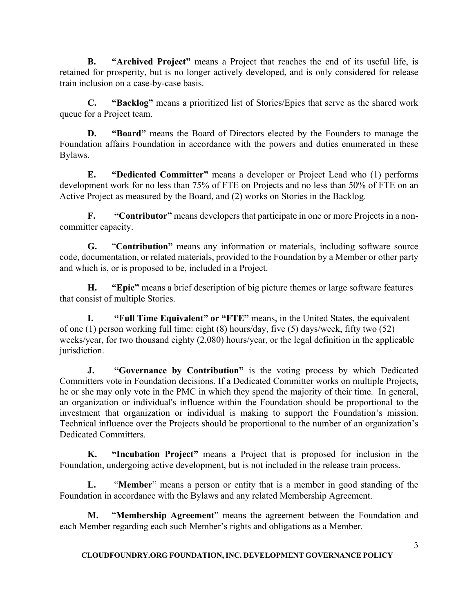**B. "Archived Project"** means a Project that reaches the end of its useful life, is retained for prosperity, but is no longer actively developed, and is only considered for release train inclusion on a case-by-case basis.

**C. "Backlog"** means a prioritized list of Stories/Epics that serve as the shared work queue for a Project team.

**D. "Board"** means the Board of Directors elected by the Founders to manage the Foundation affairs Foundation in accordance with the powers and duties enumerated in these Bylaws.

**E. "Dedicated Committer"** means a developer or Project Lead who (1) performs development work for no less than 75% of FTE on Projects and no less than 50% of FTE on an Active Project as measured by the Board, and (2) works on Stories in the Backlog.

**F. "Contributor"** means developers that participate in one or more Projects in a noncommitter capacity.

**G.** "**Contribution"** means any information or materials, including software source code, documentation, or related materials, provided to the Foundation by a Member or other party and which is, or is proposed to be, included in a Project.

**H. "Epic"** means a brief description of big picture themes or large software features that consist of multiple Stories.

**I. "Full Time Equivalent" or "FTE"** means, in the United States, the equivalent of one (1) person working full time: eight (8) hours/day, five (5) days/week, fifty two (52) weeks/year, for two thousand eighty (2,080) hours/year, or the legal definition in the applicable jurisdiction.

**J. "Governance by Contribution"** is the voting process by which Dedicated Committers vote in Foundation decisions. If a Dedicated Committer works on multiple Projects, he or she may only vote in the PMC in which they spend the majority of their time. In general, an organization or individual's influence within the Foundation should be proportional to the investment that organization or individual is making to support the Foundation's mission. Technical influence over the Projects should be proportional to the number of an organization's Dedicated Committers.

**K. "Incubation Project"** means a Project that is proposed for inclusion in the Foundation, undergoing active development, but is not included in the release train process.

**L.** "**Member**" means a person or entity that is a member in good standing of the Foundation in accordance with the Bylaws and any related Membership Agreement.

**M.** "**Membership Agreement**" means the agreement between the Foundation and each Member regarding each such Member's rights and obligations as a Member.

**CLOUDFOUNDRY.ORG FOUNDATION, INC. DEVELOPMENT GOVERNANCE POLICY**